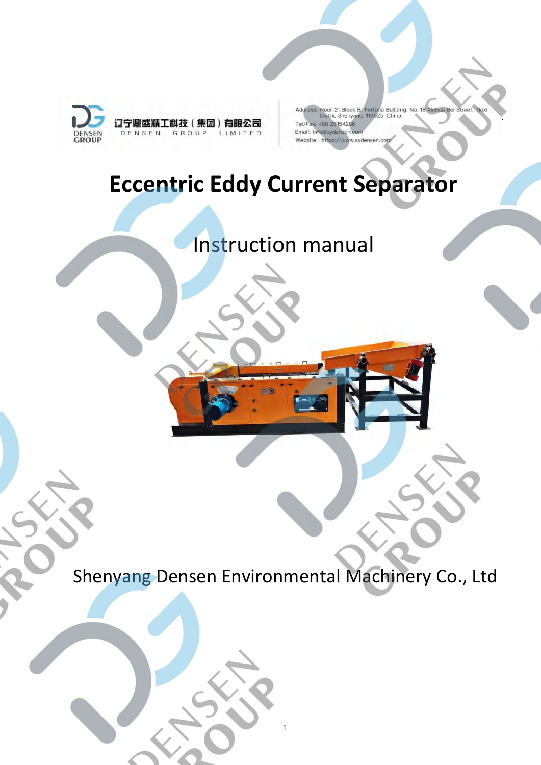

.<br>Floor 21.Block B. Fortune Building. No. 18 Xinhua Bei Street.<br>Distric Shenyang. 110025. China. Tel/Fax: +86 25154286 Email: info@sydensen.com Website: https://www.sydensen.cor

# **Eccentric Eddy Current Separator**

## Instruction manual

Shenyang Densen Environmental Machinery Co., Ltd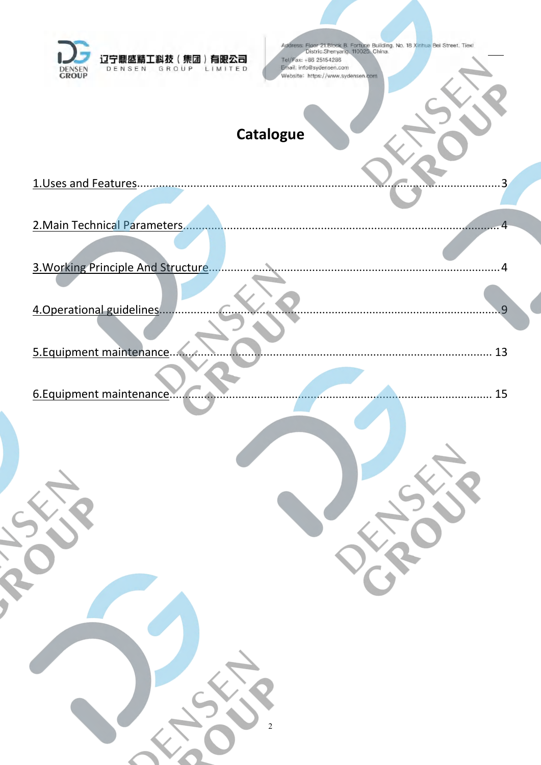<span id="page-1-0"></span>

| 有眼公司<br>圓感<br>GROUP                         | Address: Floor 21.Block B. Fortune Building. No. 18 Xinhua Bei Street. Tiexi<br>Distric.Shenyang. 110025. China.<br>Tel/Fax: +86 25154286<br>Email: info@sydensen.com |
|---------------------------------------------|-----------------------------------------------------------------------------------------------------------------------------------------------------------------------|
| DENSEN<br>LIMITED<br><b>DENSEN</b><br>GROUP | Website: https://www.sydensen.com                                                                                                                                     |
|                                             |                                                                                                                                                                       |
|                                             | <b>Catalogue</b>                                                                                                                                                      |
| 1. Uses and Features.                       |                                                                                                                                                                       |
|                                             |                                                                                                                                                                       |
| 2. Main Technical Parameters.               |                                                                                                                                                                       |
| 3. Working Principle And Structure.         |                                                                                                                                                                       |
| 4. Operational guidelines.                  | 9                                                                                                                                                                     |
|                                             |                                                                                                                                                                       |
| 5. Equipment maintenance.                   | 13                                                                                                                                                                    |
| 6. Equipment maintenance                    | 15                                                                                                                                                                    |
|                                             |                                                                                                                                                                       |
|                                             |                                                                                                                                                                       |
|                                             |                                                                                                                                                                       |
| RIOUT                                       | Joseph                                                                                                                                                                |
|                                             | VR                                                                                                                                                                    |
|                                             |                                                                                                                                                                       |
|                                             |                                                                                                                                                                       |
|                                             |                                                                                                                                                                       |
|                                             |                                                                                                                                                                       |
|                                             |                                                                                                                                                                       |
| SSS                                         |                                                                                                                                                                       |
|                                             |                                                                                                                                                                       |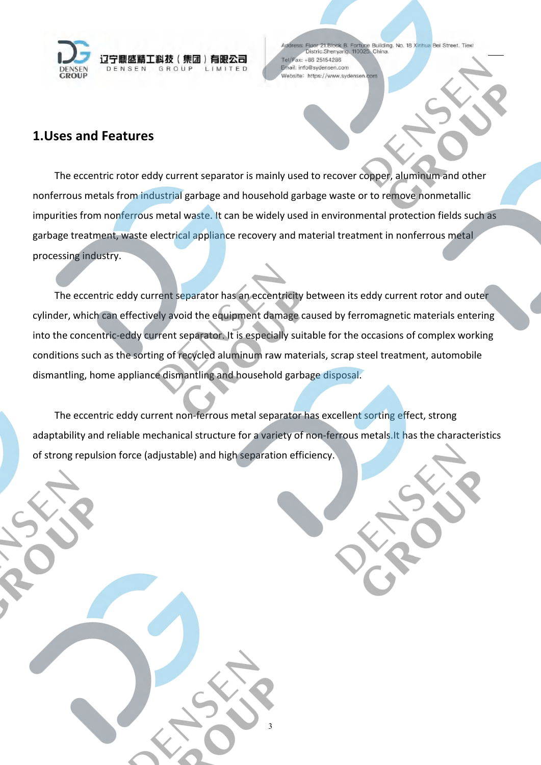

Figor 21.Block B. Fortune Building. No. 18 Xinhua Bei Street. Tiexi<br>Distric.Shenyang. 110025. China. ax: +86 25154286  $Tall$ Email: info@sydensen.com Website: https://www.sydensen.com

#### **1.Uses and Features**

The eccentric rotor eddy current separator is mainly used to recover copper, aluminum and other nonferrous metals from industrial garbage and household garbage waste or to remove nonmetallic impurities from nonferrous metal waste. It can be widely used in environmental protection fields such as garbage treatment, waste electrical appliance recovery and material treatment in nonferrous metal processing industry.

The eccentric eddy current separator has an eccentricity between its eddy current rotor and outer cylinder, which can effectively avoid the equipment damage caused by ferromagnetic materials entering into the concentric-eddy current separator. It is especially suitable for the occasions of complex working conditions such as the sorting of recycled aluminum raw materials, scrap steel treatment, automobile dismantling, home appliance dismantling and household garbage disposal.

The eccentric eddy current non-ferrous metal separator has excellent sorting effect, strong adaptability and reliable mechanical structure for a variety of non-ferrous metals.It has the characteristics of strong repulsion force (adjustable) and high separation efficiency.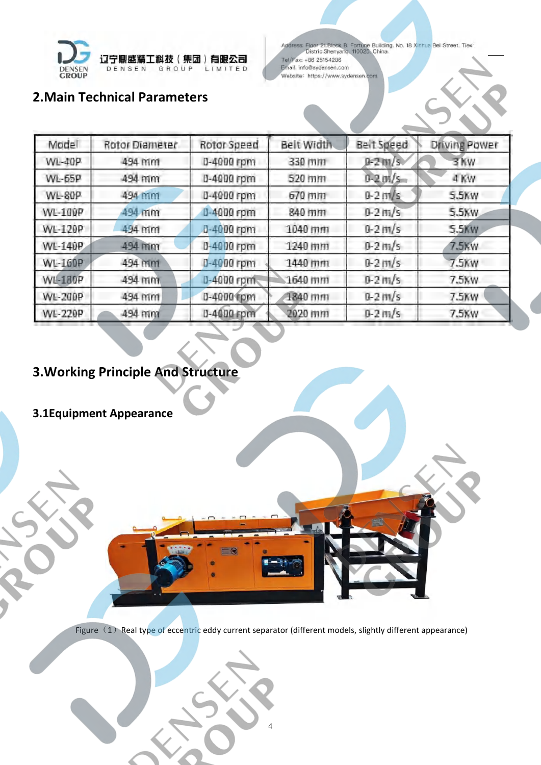

Address: Floor 21. Block B. Fortune Building. No. 18 Xinhua Bei Street. Tiexi<br>Distric. Shenyang. 110025. China. Tel/Fax: +86 25154286 Email: info@sydensen.com Website: https://www.sydensen.com

## <span id="page-3-0"></span>**2[.Main](file://localhost/D:/Dict/8.9.5.0/resultui/html/index.html) [Technical](file://localhost/D:/Dict/8.9.5.0/resultui/html/index.html) [Parameters](file://localhost/D:/Dict/8.9.5.0/resultui/html/index.html)**

| Model          | Rotor Diameter | Rotor Speed | Belt Width | Beit Speed     | Driving Power |
|----------------|----------------|-------------|------------|----------------|---------------|
| WL-40P         | 494 mm         | 0-4000 rpm  | 330 mm     | $0 - 2 \ln(5)$ | 3 Kw          |
| WL-65P         | 494 mm         | 0-4000 rpm  | 520 mm     | $0-2$ $m/s$    | 4 KW          |
| WL-80P         | 494 mm         | 0-4000 rpm  | 670 mm     | $0 - 2$ m/s    | 5.5KW         |
| WL-100P        | 494 mm         | 0-4000 rpm  | 840 mm     | $0 - 2 + n/s$  | 5.5KW         |
| WL-120P        | 494 mm         | 0-4000 rpm  | 1040 mm    | $0 - 2$ m/s    | 5.5KW         |
| WL-140P        | 494 mm         | 0-4000 rpm  | 1240 mm    | $0 - 2 \ln/s$  | 7.5KW         |
| WL-160P        | 494 mm         | 0-4000 rpm  | 1440 mm    | $0 - 2$ m/s    | 7.5KW         |
| <b>WL-180P</b> | 494 mm         | 0-4000 rpm. | 1640 mm    | $0 - 2 + n/s$  | 7.5KW         |
| WL-200P        | 494 mm         | 0-4000 rpm  | 1840 mm    | $0 - 2$ m/s    | 7.5KW         |
| WL-220P        | 494 mm         | 0-4000 rpm  | 2020 mm    | $0 - 2 \ln/s$  | 7.5KW         |

## <span id="page-3-1"></span>**3.Working Principle And Structure**

## **3.1Equipment Appearance**

Figure (1) Real type of eccentric eddy current separator (different models, slightly different appearance)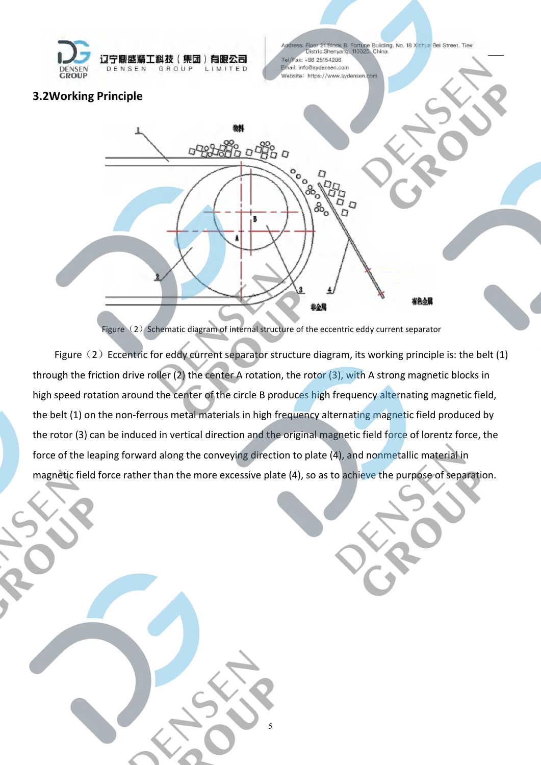

Figor 21.Block B. Fortune Building. No. 18 Xinhua Bei Street. Tiexi<br>Distric.Shenyang. 110025. China. ax: +86 25154286  $Tall/$ Email: info@sydensen.com Website: https://www.sydensen

#### **3.2Working Principle**



Figure $(2)$  Schematic diagram of internal structure of the eccentric eddy current separator

Figure  $(2)$  Eccentric for eddy current separator structure diagram, its working principle is: the belt (1) through the friction drive roller (2) the center A rotation, the rotor (3), with A strong magnetic blocks in high speed rotation around the center of the circle B produces high frequency alternating magnetic field, the belt (1) on the non-ferrous metal materials in high frequency alternating magnetic field produced by the rotor (3) can be induced in vertical direction and the original magnetic field force of lorentz force, the force of the leaping forward along the conveying direction to plate (4), and nonmetallic material in magnetic field force rather than the more excessive plate (4), so as to achieve the purpose of separation.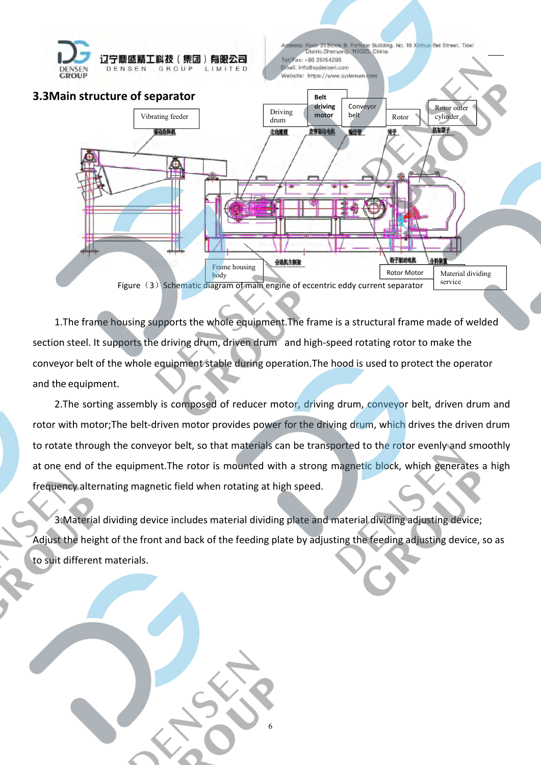

dress: Floor 21.Block B. Fortune Building. No. 18 Xinhua Bei Street. Tiexi<br>Distric Shenyang, 110025. China. Tel/Fax: +86 25154286 Email: info@sydensen.com Website: https://www.sydensen.com



1. The frame housing supports the whole equipment. The frame is a structural frame made of welded section steel. It supports the driving drum, driven drum and high-speed rotating rotor to make the conveyor belt of the whole equipment stable during operation.The hood is used to protect the operator and the equipment.

2. The sorting assembly is composed of reducer motor, driving drum, conveyor belt, driven drum and rotor with motor;The belt-driven motor provides power for the driving drum, which drives the driven drum to rotate through the conveyor belt, so that materials can be transported to the rotor evenly and smoothly at one end of the equipment.The rotor is mounted with a strong magnetic block, which generates a high frequency alternating magnetic field when rotating at high speed.

3.Material dividing device includes material dividing plate and material dividing adjusting device; Adjust the height of the front and back of the feeding plate by adjusting the feeding adjusting device, so as to suit different materials.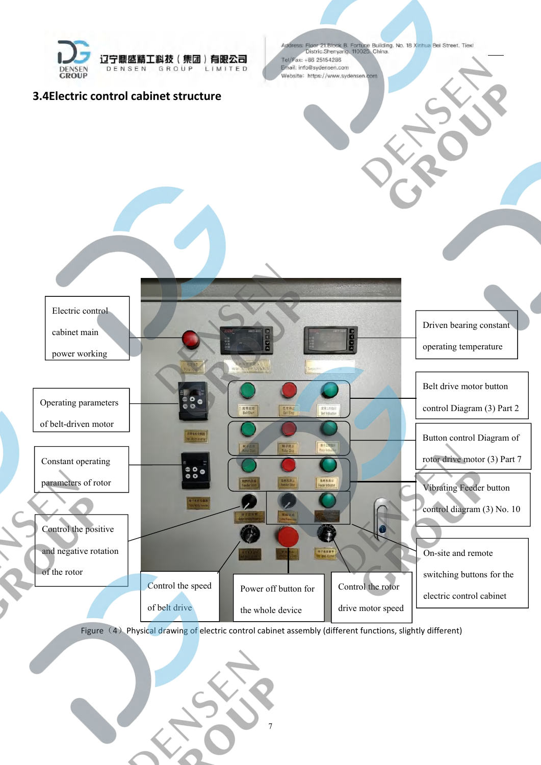

#### **3.4Electric control cabinet structure**





Figure (4) Physical drawing of electric control cabinet assembly (different functions, slightly different)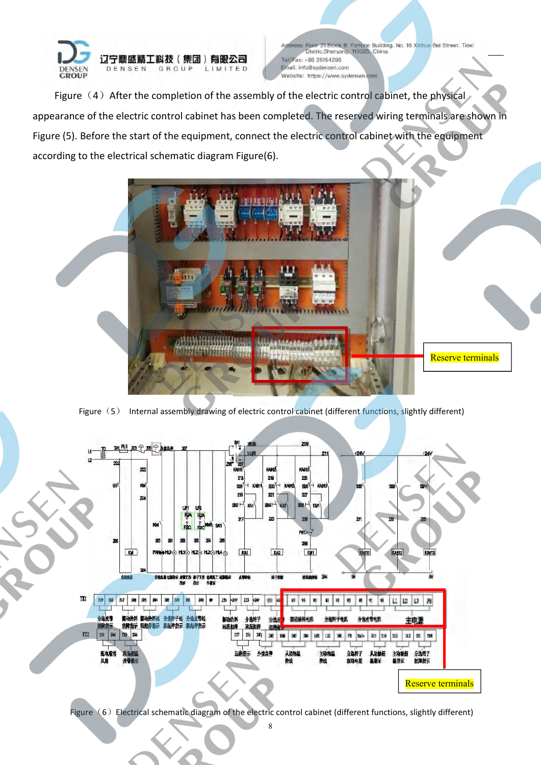

ddress: Floor 21.Block B. Fortune Building. No. 18 Xinhua Bei Street. Tiexi<br>Distric Shenyang, 110025. China.  $TeI/F$ ax: +86 25154286 Email: info@sydensen.com Website: https://www.sydensen.com

Figure  $(4)$  After the completion of the assembly of the electric control cabinet, the physical appearance of the electric control cabinet has been completed. The reserved wiring terminals are shown in Figure (5). Before the start of the equipment, connect the electric control cabinet with the equipment according to the electrical schematic diagram Figure(6).



Figure (5) Internal assembly drawing of electric control cabinet (different functions, slightly different)



Figure  $(6)$  Electrical schematic diagram of the electric control cabinet (different functions, slightly different)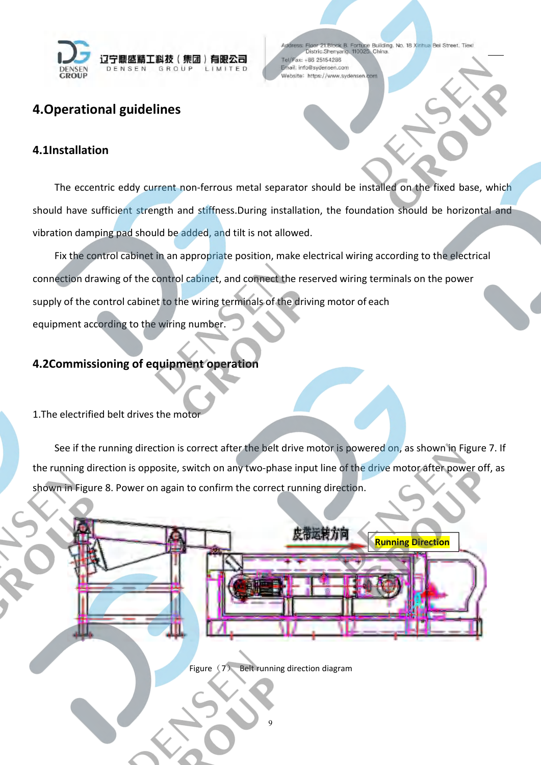

Figor 21.Block B. Fortune Building. No. 18 Xinhua Bei Street. Tiexi<br>Distric.Shenyang. 110025. China. ax: +86 25154286 Email: info@sydensen.com Website: https://www.sydensen.com

## <span id="page-8-0"></span>**4.Operational guidelines**

#### **4.1Installation**

The eccentric eddy current non-ferrous metal separator should be installed on the fixed base, which should have sufficient strength and stiffness.During installation, the foundation should be horizontal and vibration damping pad should be added, and tilt is not allowed.

Fix the control cabinet in an appropriate position, make electrical wiring according to the electrical connection drawing of the control cabinet, and connect the reserved wiring terminals on the power supply of the control cabinet to the wiring terminals of the driving motor of each equipment according to the wiring number.

#### **4.2Commissioning of equipment operation**

1. The electrified belt drives the moto

See if the running direction is correct after the belt drive motor is powered on, as shown in Figure 7. If the running direction is opposite, switch on any two-phase input line of the drive motor after power off, as shown in Figure 8. Power on again to confirm the correct running direction.



Figure  $(7)$  Belt running direction diagram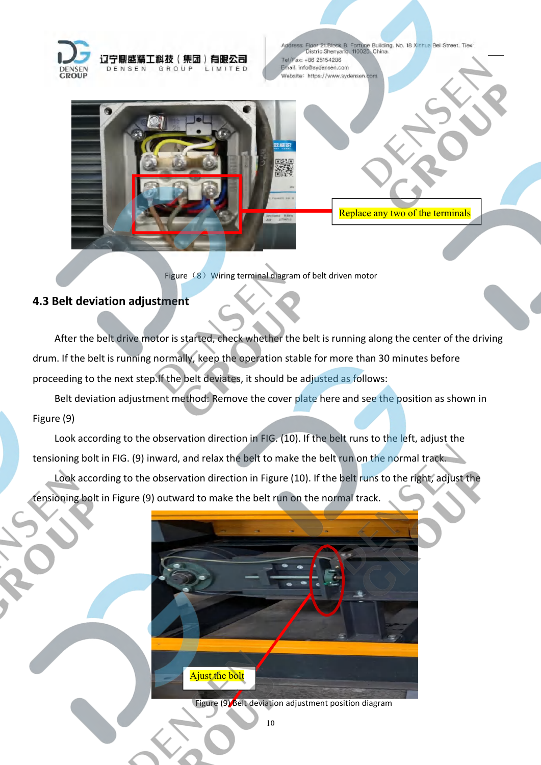

Floor 21.Block B. Fortune Building. No. 18 Xinhua Bei Street. Tiexi<br>Distric.Shenyang. 110025. China. ax: +86 25154286  $Tall$ Email: info@sydensen.com Website: https://www.sydensen.com



Replace any two of the terminals

Figure (8) Wiring terminal diagram of belt driven motor

#### **4.3 Belt deviation adjustment**

After the belt drive motor is started, check whether the belt is running along the center of the driving drum. If the belt is running normally, keep the operation stable for more than 30 minutes before proceeding to the next step.If the belt deviates, it should be adjusted as follows:

Belt deviation adjustment method: Remove the cover plate here and see the position as shown in Figure (9)

Look according to the observation direction in FIG. (10). If the belt runs to the left, adjust the tensioning bolt in FIG. (9) inward, and relax the belt to make the belt run on the normal track.

Look according to the observation direction in Figure (10). If the belt runs to the right, adjust the tensioning bolt in Figure (9) outward to make the belt run on the normal track.



Figure (9) Belt deviation adjustment position diagram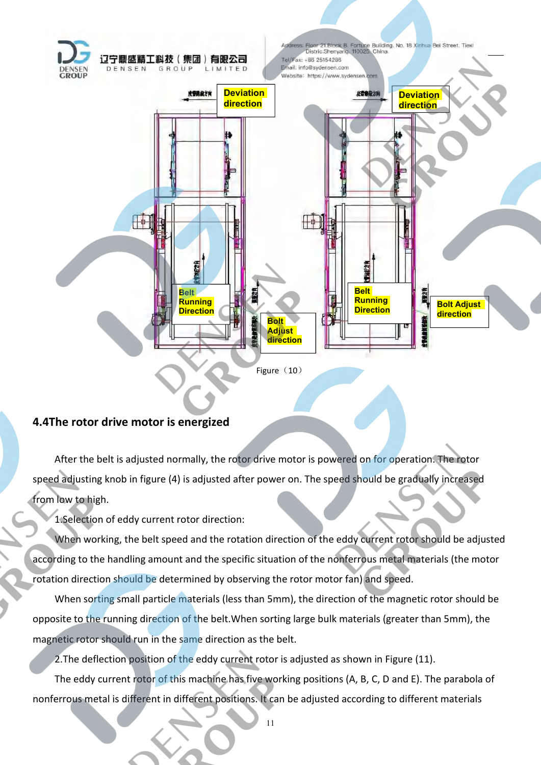

#### **4.4The rotor drive motor is energized**

After the belt is adjusted normally, the rotor drive motor is powered on for operation. The rotor speed adjusting knob in figure (4) is adjusted after power on. The speed should be gradually increased from low to high.

1.Selection of eddy current rotor direction:

When working, the belt speed and the rotation direction of the eddy current rotor should be adjusted according to the handling amount and the specific situation of the nonferrous metal materials (the motor rotation direction should be determined by observing the rotor motor fan) and speed.

When sorting small particle materials (less than 5mm), the direction of the magnetic rotor should be opposite to the running direction of the belt.When sorting large bulk materials (greater than 5mm), the magnetic rotor should run in the same direction as the belt.

2.The deflection position of the eddy current rotor is adjusted as shown in Figure (11).

The eddy current rotor of this machine has five working positions (A, B, C, D and E). The parabola of nonferrous metal is different in different positions. It can be adjusted according to different materials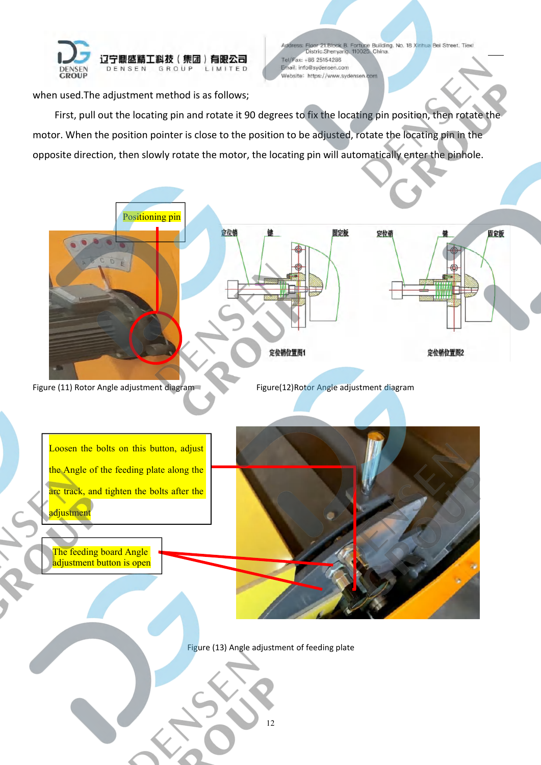

ddress: Floor 21.Block B. Fortune Building. No. 18 Xinhua Bei Street. Tiexi<br>Distric Shenyang, 110025. China. Tel/Fax: +86 25154286 Email: info@sydensen.com Website: https://www.sydensen.com

when used.The adjustment method is as follows;

First, pull out the locating pin and rotate it 90 degrees to fix the locating pin position, then rotate the motor. When the position pointer is close to the position to be adjusted, rotate the locating pin in the opposite direction, then slowly rotate the motor, the locating pin will automatically enter the pinhole.

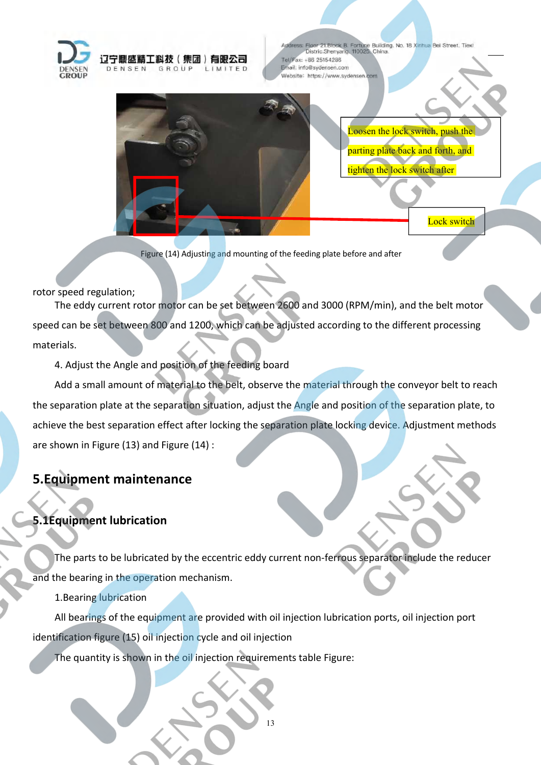

Figor 21.Block B. Fortune Building. No. 18 Xinhua Bei Street. Tiexi<br>Distric.Shenyang. 110025. China. Tel/Fax: +86 25154286 Email: info@sydensen.com Website: https://www.sydensen.com



Figure (14) Adjusting and mounting of the feeding plate before and after

LIMITED

#### rotor speed regulation;

The eddy current rotor motor can be set between 2600 and 3000 (RPM/min), and the belt motor speed can be set between 800 and 1200, which can be adjusted according to the different processing materials.

4. Adjust the Angle and position of the feeding board

Add a small amount of material to the belt, observe the material through the conveyor belt to reach the separation plate at the separation situation, adjust the Angle and position of the separation plate, to achieve the best separation effect after locking the separation plate locking device. Adjustment methods are shown in Figure (13) and Figure (14) :

## <span id="page-12-0"></span>**5.Equipment maintenance**

#### **5.1Equipment lubrication**

The parts to be lubricated by the eccentric eddy current non-ferrous separator include the reducer and the bearing in the operation mechanism.<br>1.Bearing lubrication

All bearings of the equipment are provided with oil injection lubrication ports, oil injection port identification figure (15) oil injection cycle and oil injection

The quantity is shown in the oil injection requirements table Figure: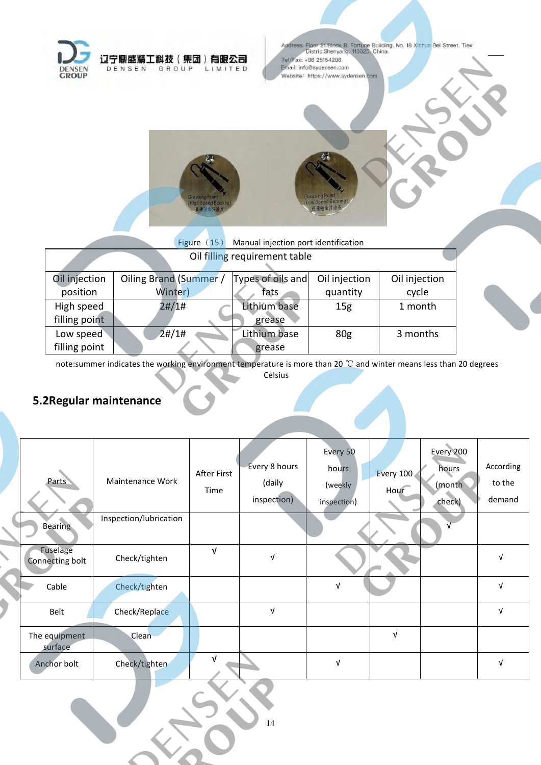

Address: Floor 21:Block B. Fortune Building. No. 18 Xinhua Bei Street. Tiexi<br>Distric.Shenyang. 110025: China. Tel/Fax: +86 25154286 Email: info@sydensen.com Website: https://www.sydensen.com



|               | Figure $(15)$          | Manual injection port identification |                 |               |  |
|---------------|------------------------|--------------------------------------|-----------------|---------------|--|
|               |                        | Oil filling requirement table        |                 |               |  |
| Oil injection | Oiling Brand (Summer / | Types of oils and                    | Oil injection   | Oil injection |  |
| position      | Winter)                | fats                                 | quantity        | cycle         |  |
| High speed    | 2#/1#                  | Lithium base                         | 15 <sub>g</sub> | 1 month       |  |
| filling point |                        | grease                               |                 |               |  |
| Low speed     | 2#/1#                  | Lithium base                         | 80 <sub>g</sub> | 3 months      |  |
| filling point |                        | grease                               |                 |               |  |
|               |                        |                                      |                 |               |  |

note:summer indicates the working environment temperature is more than 20 ℃ and winter means less than 20 degrees

Celsius

## **5.2Regular maintenance**

| Parts                       | Maintenance Work       | After First<br>Time | Every 8 hours<br>(daily<br>inspection) | Every 50<br>hours<br>(weekly<br>inspection) | Every 100<br>Hour | Every 200<br>hours<br>(month<br>check) | According<br>to the<br>demand |
|-----------------------------|------------------------|---------------------|----------------------------------------|---------------------------------------------|-------------------|----------------------------------------|-------------------------------|
| <b>Bearing</b>              | Inspection/lubrication |                     |                                        |                                             |                   |                                        |                               |
| Fuselage<br>Connecting bolt | Check/tighten          | $\sqrt{ }$          | J                                      |                                             |                   |                                        | νI                            |
| Cable                       | Check/tighten          |                     |                                        | $\ensuremath{\mathsf{V}}$                   |                   |                                        | $\sqrt{ }$                    |
| Belt                        | Check/Replace          |                     | $\sqrt{ }$                             |                                             |                   |                                        | $\sqrt{ }$                    |
| The equipment<br>surface    | Clean                  |                     |                                        |                                             | $\sqrt{ }$        |                                        |                               |
| Anchor bolt                 | Check/tighten          | $\sqrt{ }$          |                                        | $\sqrt{ }$                                  |                   |                                        | $\sqrt{ }$                    |
|                             |                        |                     |                                        |                                             |                   |                                        |                               |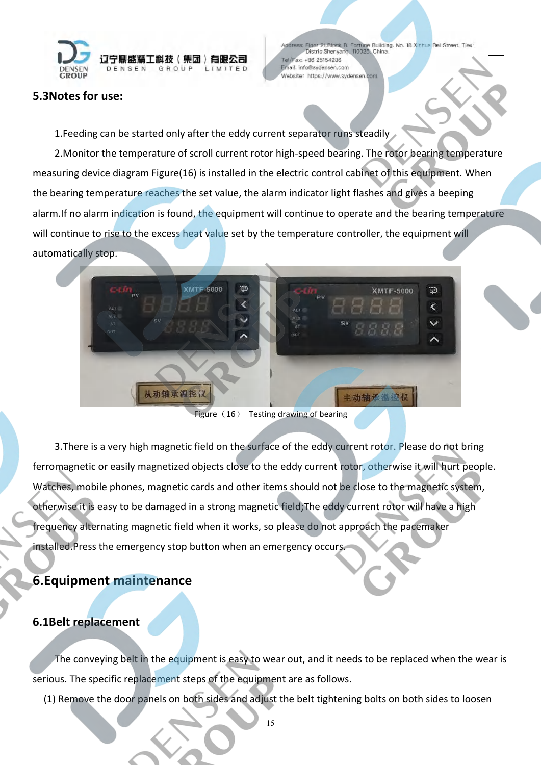

#### dress: Floor 21.Block B. Fortune Building. No. 18 Xinhua Bei Street. Tiexi<br>Distric Shenyang, 110025. China. ax: +86 25154286  $Tall/F$ Email: info@sydensen.com Website: https://www.sydensen.com

#### **5.3Notes for use:**

1.Feeding can be started only after the eddy current separator runs steadily

2.Monitor the temperature of scroll current rotor high-speed bearing. The rotor bearing temperature measuring device diagram Figure(16) is installed in the electric control cabinet of this equipment. When the bearing temperature reaches the set value, the alarm indicator light flashes and gives a beeping alarm.If no alarm indication is found, the equipment will continue to operate and the bearing temperature will continue to rise to the excess heat value set by the temperature controller, the equipment will automatically stop.



Figure  $(16)$  Testing drawing of bearing

3. There is a very high magnetic field on the surface of the eddy current rotor. Please do not bring ferromagnetic or easily magnetized objects close to the eddy current rotor, otherwise it will hurt people. Watches, mobile phones, magnetic cards and other items should not be close to the magnetic system,<br>otherwise it is easy to be damaged in a strong magnetic field;The eddy current rotor will have a high frequency alternating magnetic field when it works, so please do not approach the pacemaker installed.Press the emergency stop button when an emergency occurs.

## <span id="page-14-0"></span>**6.Equipment maintenance**

#### **6.1Belt replacement**

The conveying belt in the equipment is easy to wear out, and it needs to be replaced when the wear is serious. The specific replacement steps of the equipment are as follows.

(1) Remove the door panels on both sides and adjust the belt tightening bolts on both sides to loosen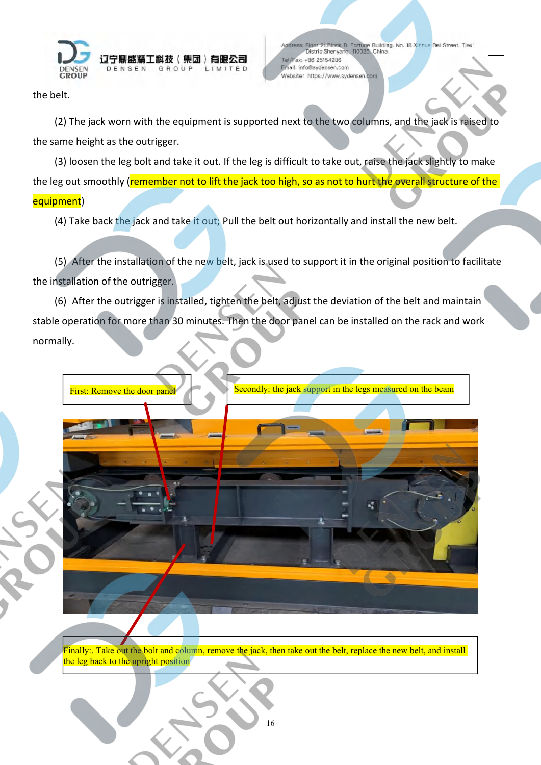

dress: Floor 21.Block B. Fortune Building. No. 18 Xinhua Bei Street. Tiexi<br>Distric Shenyang, 110025. China. Tel/Fax: +86 25154286 Email: info@sydensen.com Website: https://www.sydensen.com

the belt.

(2) The jack worn with the equipment is supported next to the two columns, and the jack is raised to the same height as the outrigger.

(3) loosen the leg bolt and take it out. If the leg is difficult to take out, raise the jack slightly to make the leg out smoothly (remember not to lift the jack too high, so as not to hurt the overall structure of the equipment)

(4) Take back the jack and take it out; Pull the belt out horizontally and install the new belt.

(5) After the installation of the new belt, jack is used to support it in the original position to facilitate the installation of the outrigger.

(6) After the outrigger is installed, tighten the belt, adjust the deviation of the belt and maintain stable operation for more than 30 minutes. Then the door panel can be installed on the rack and work normally.

First: Remove the door pane Secondly: the jack support in the legs measured on the beam

Finally:. Take out the bolt and column, remove the jack, then take out the belt, replace the new belt, and install the leg back to the upright position